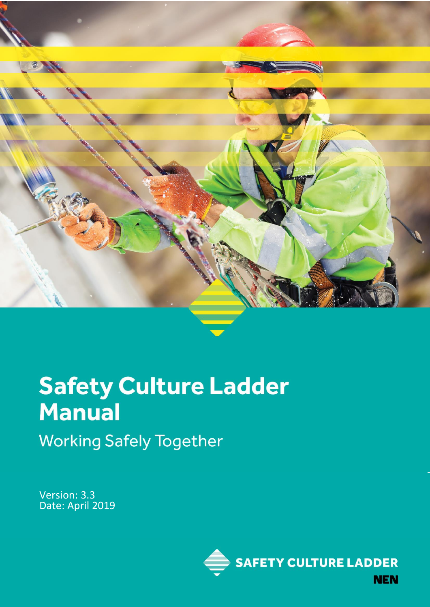

# **Safety Culture Ladder Manual Working Safely Together**

Version: 3.3 Date: April 2019

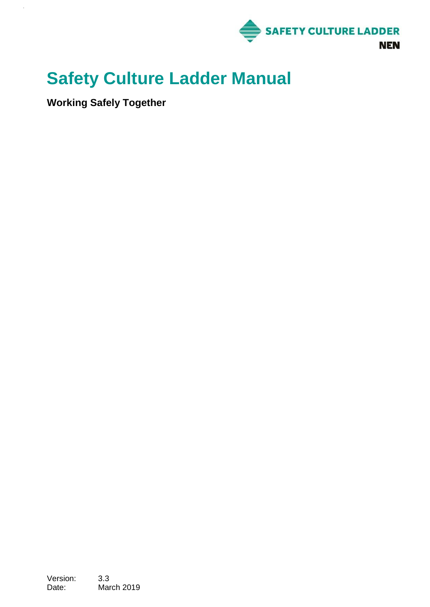

# **Safety Culture Ladder Manual**

**Working Safely Together**

 $\bar{z}$ 

Version: 3.3 Date: March 2019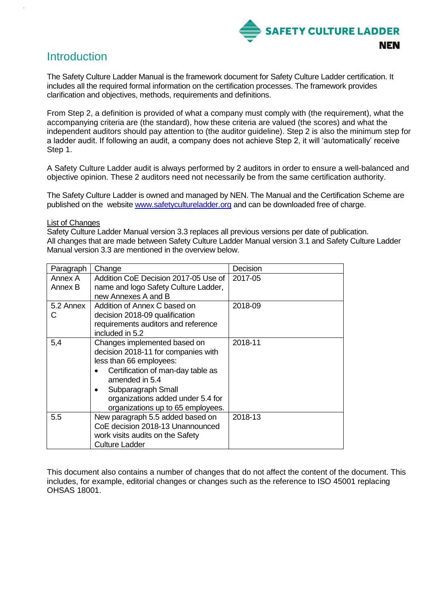

# **Introduction**

The Safety Culture Ladder Manual is the framework document for Safety Culture Ladder certification. It includes all the required formal information on the certification processes. The framework provides clarification and objectives, methods, requirements and definitions.

From Step 2, a definition is provided of what a company must comply with (the requirement), what the accompanying criteria are (the standard), how these criteria are valued (the scores) and what the independent auditors should pay attention to (the auditor guideline). Step 2 is also the minimum step for a ladder audit. If following an audit, a company does not achieve Step 2, it will 'automatically' receive Step 1.

A Safety Culture Ladder audit is always performed by 2 auditors in order to ensure a well-balanced and objective opinion. These 2 auditors need not necessarily be from the same certification authority.

The Safety Culture Ladder is owned and managed by NEN. The Manual and the Certification Scheme are published on the website [www.safetycultureladder.org](http://www.safetycultureladder.org/) and can be downloaded free of charge.

### List of Changes

Safety Culture Ladder Manual version 3.3 replaces all previous versions per date of publication. All changes that are made between Safety Culture Ladder Manual version 3.1 and Safety Culture Ladder Manual version 3.3 are mentioned in the overview below.

| Paragraph | Change                                              | Decision |
|-----------|-----------------------------------------------------|----------|
| Annex A   | Addition CoE Decision 2017-05 Use of                | 2017-05  |
| Annex B   | name and logo Safety Culture Ladder,                |          |
|           | new Annexes A and B                                 |          |
| 5.2 Annex | Addition of Annex C based on                        | 2018-09  |
| C         | decision 2018-09 qualification                      |          |
|           | requirements auditors and reference                 |          |
|           | included in 5.2                                     |          |
| 5,4       | Changes implemented based on                        | 2018-11  |
|           | decision 2018-11 for companies with                 |          |
|           | less than 66 employees:                             |          |
|           | Certification of man-day table as<br>amended in 5.4 |          |
|           |                                                     |          |
|           | Subparagraph Small<br>$\bullet$                     |          |
|           | organizations added under 5.4 for                   |          |
|           | organizations up to 65 employees.                   |          |
| 5.5       | New paragraph 5.5 added based on                    | 2018-13  |
|           | CoE decision 2018-13 Unannounced                    |          |
|           | work visits audits on the Safety                    |          |
|           | <b>Culture Ladder</b>                               |          |

This document also contains a number of changes that do not affect the content of the document. This includes, for example, editorial changes or changes such as the reference to ISO 45001 replacing OHSAS 18001.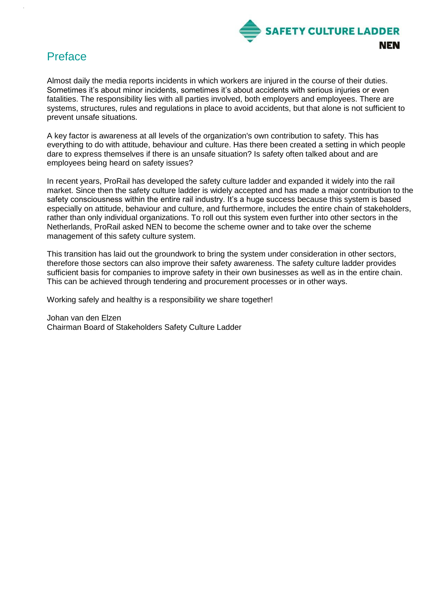

# Preface

Almost daily the media reports incidents in which workers are injured in the course of their duties. Sometimes it's about minor incidents, sometimes it's about accidents with serious injuries or even fatalities. The responsibility lies with all parties involved, both employers and employees. There are systems, structures, rules and regulations in place to avoid accidents, but that alone is not sufficient to prevent unsafe situations.

A key factor is awareness at all levels of the organization's own contribution to safety. This has everything to do with attitude, behaviour and culture. Has there been created a setting in which people dare to express themselves if there is an unsafe situation? Is safety often talked about and are employees being heard on safety issues?

In recent years, ProRail has developed the safety culture ladder and expanded it widely into the rail market. Since then the safety culture ladder is widely accepted and has made a major contribution to the safety consciousness within the entire rail industry. It's a huge success because this system is based especially on attitude, behaviour and culture, and furthermore, includes the entire chain of stakeholders, rather than only individual organizations. To roll out this system even further into other sectors in the Netherlands, ProRail asked NEN to become the scheme owner and to take over the scheme management of this safety culture system.

This transition has laid out the groundwork to bring the system under consideration in other sectors, therefore those sectors can also improve their safety awareness. The safety culture ladder provides sufficient basis for companies to improve safety in their own businesses as well as in the entire chain. This can be achieved through tendering and procurement processes or in other ways.

Working safely and healthy is a responsibility we share together!

Johan van den Elzen Chairman Board of Stakeholders Safety Culture Ladder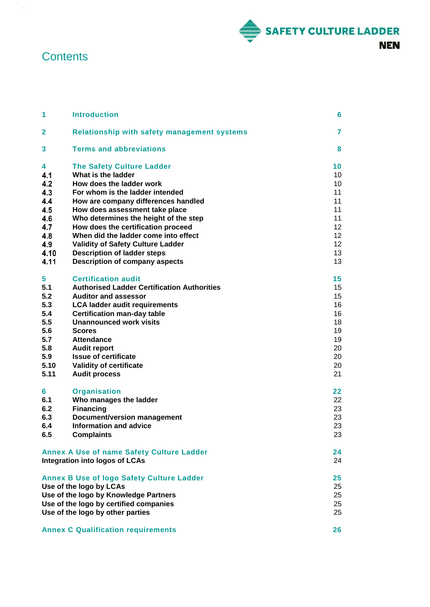

# **Contents**

 $\hat{\mathcal{A}}$ 

| 1            | <b>Introduction</b>                                                   | 6        |
|--------------|-----------------------------------------------------------------------|----------|
| $\mathbf{2}$ | <b>Relationship with safety management systems</b>                    | 7        |
| 3            | <b>Terms and abbreviations</b>                                        | 8        |
| 4            | <b>The Safety Culture Ladder</b>                                      | 10       |
| 4.1          | What is the ladder                                                    | 10       |
| 4.2          | How does the ladder work                                              | 10       |
| 4.3          | For whom is the ladder intended                                       | 11       |
| 4.4<br>4.5   | How are company differences handled<br>How does assessment take place | 11<br>11 |
| 4.6          | Who determines the height of the step                                 | 11       |
| 4.7          | How does the certification proceed                                    | 12       |
| 4.8          | When did the ladder come into effect                                  | 12       |
| 4.9          | <b>Validity of Safety Culture Ladder</b>                              | 12       |
| 4.10         | <b>Description of ladder steps</b>                                    | 13       |
| 4.11         | <b>Description of company aspects</b>                                 | 13       |
| 5            | <b>Certification audit</b>                                            | 15       |
| 5.1          | <b>Authorised Ladder Certification Authorities</b>                    | 15       |
| 5.2          | <b>Auditor and assessor</b>                                           | 15       |
| 5.3          | <b>LCA ladder audit requirements</b>                                  | 16       |
| 5.4          | <b>Certification man-day table</b>                                    | 16       |
| 5.5          | <b>Unannounced work visits</b>                                        | 18       |
| 5.6          | <b>Scores</b>                                                         | 19       |
| 5.7          | <b>Attendance</b>                                                     | 19       |
| 5.8          | <b>Audit report</b>                                                   | 20       |
| 5.9          | <b>Issue of certificate</b>                                           | 20       |
| 5.10         | <b>Validity of certificate</b>                                        | 20       |
| 5.11         | <b>Audit process</b>                                                  | 21       |
| 6            | <b>Organisation</b>                                                   | 22       |
| 6.1<br>6.2   | Who manages the ladder                                                | 22<br>23 |
| 6.3          | <b>Financing</b><br>Document/version management                       | 23       |
| 6.4          | <b>Information and advice</b>                                         | 23       |
| 6.5          | <b>Complaints</b>                                                     | 23       |
|              |                                                                       |          |
|              | <b>Annex A Use of name Safety Culture Ladder</b>                      | 24       |
|              | Integration into logos of LCAs                                        | 24       |
|              | <b>Annex B Use of logo Safety Culture Ladder</b>                      | 25       |
|              | Use of the logo by LCAs                                               | 25       |
|              | Use of the logo by Knowledge Partners                                 | 25       |
|              | Use of the logo by certified companies                                | 25       |
|              | Use of the logo by other parties                                      | 25       |
|              | <b>Annex C Qualification requirements</b>                             | 26       |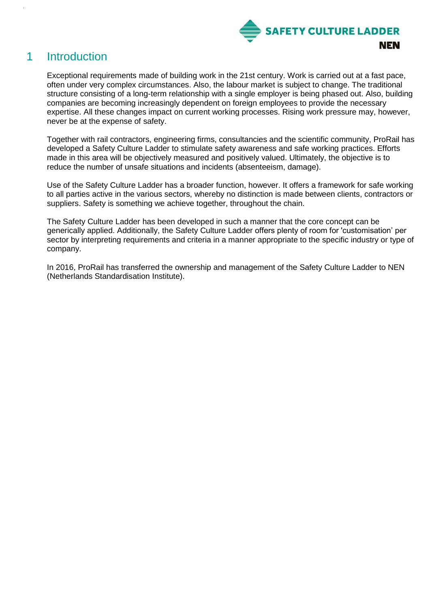

# <span id="page-5-0"></span>1 Introduction

Exceptional requirements made of building work in the 21st century. Work is carried out at a fast pace, often under very complex circumstances. Also, the labour market is subject to change. The traditional structure consisting of a long-term relationship with a single employer is being phased out. Also, building companies are becoming increasingly dependent on foreign employees to provide the necessary expertise. All these changes impact on current working processes. Rising work pressure may, however, never be at the expense of safety.

Together with rail contractors, engineering firms, consultancies and the scientific community, ProRail has developed a Safety Culture Ladder to stimulate safety awareness and safe working practices. Efforts made in this area will be objectively measured and positively valued. Ultimately, the objective is to reduce the number of unsafe situations and incidents (absenteeism, damage).

Use of the Safety Culture Ladder has a broader function, however. It offers a framework for safe working to all parties active in the various sectors, whereby no distinction is made between clients, contractors or suppliers. Safety is something we achieve together, throughout the chain.

The Safety Culture Ladder has been developed in such a manner that the core concept can be generically applied. Additionally, the Safety Culture Ladder offers plenty of room for 'customisation' per sector by interpreting requirements and criteria in a manner appropriate to the specific industry or type of company.

In 2016, ProRail has transferred the ownership and management of the Safety Culture Ladder to NEN (Netherlands Standardisation Institute).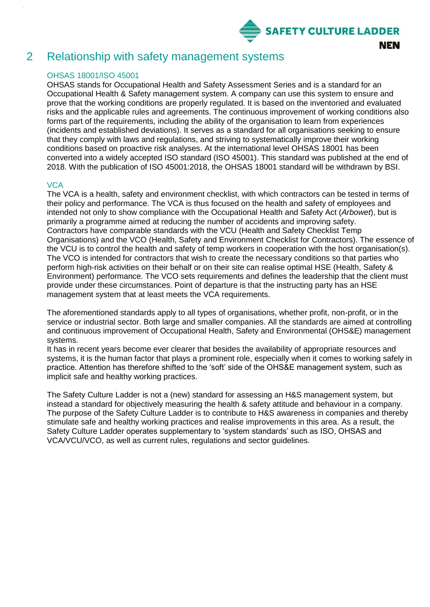

# <span id="page-6-0"></span>2 Relationship with safety management systems

### OHSAS 18001/ISO 45001

OHSAS stands for Occupational Health and Safety Assessment Series and is a standard for an Occupational Health & Safety management system. A company can use this system to ensure and prove that the working conditions are properly regulated. It is based on the inventoried and evaluated risks and the applicable rules and agreements. The continuous improvement of working conditions also forms part of the requirements, including the ability of the organisation to learn from experiences (incidents and established deviations). It serves as a standard for all organisations seeking to ensure that they comply with laws and regulations, and striving to systematically improve their working conditions based on proactive risk analyses. At the international level OHSAS 18001 has been converted into a widely accepted ISO standard (ISO 45001). This standard was published at the end of 2018. With the publication of ISO 45001:2018, the OHSAS 18001 standard will be withdrawn by BSI.

### **VCA**

The VCA is a health, safety and environment checklist, with which contractors can be tested in terms of their policy and performance. The VCA is thus focused on the health and safety of employees and intended not only to show compliance with the Occupational Health and Safety Act (*Arbowet*), but is primarily a programme aimed at reducing the number of accidents and improving safety. Contractors have comparable standards with the VCU (Health and Safety Checklist Temp Organisations) and the VCO (Health, Safety and Environment Checklist for Contractors). The essence of the VCU is to control the health and safety of temp workers in cooperation with the host organisation(s). The VCO is intended for contractors that wish to create the necessary conditions so that parties who perform high-risk activities on their behalf or on their site can realise optimal HSE (Health, Safety & Environment) performance. The VCO sets requirements and defines the leadership that the client must provide under these circumstances. Point of departure is that the instructing party has an HSE management system that at least meets the VCA requirements.

The aforementioned standards apply to all types of organisations, whether profit, non-profit, or in the service or industrial sector. Both large and smaller companies. All the standards are aimed at controlling and continuous improvement of Occupational Health, Safety and Environmental (OHS&E) management systems.

It has in recent years become ever clearer that besides the availability of appropriate resources and systems, it is the human factor that plays a prominent role, especially when it comes to working safely in practice. Attention has therefore shifted to the 'soft' side of the OHS&E management system, such as implicit safe and healthy working practices.

The Safety Culture Ladder is not a (new) standard for assessing an H&S management system, but instead a standard for objectively measuring the health & safety attitude and behaviour in a company. The purpose of the Safety Culture Ladder is to contribute to H&S awareness in companies and thereby stimulate safe and healthy working practices and realise improvements in this area. As a result, the Safety Culture Ladder operates supplementary to 'system standards' such as ISO, OHSAS and VCA/VCU/VCO, as well as current rules, regulations and sector guidelines.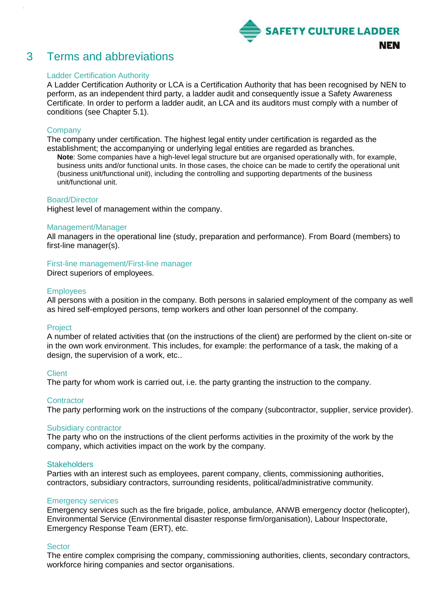

# <span id="page-7-0"></span>3 Terms and abbreviations

### Ladder Certification Authority

A Ladder Certification Authority or LCA is a Certification Authority that has been recognised by NEN to perform, as an independent third party, a ladder audit and consequently issue a Safety Awareness Certificate. In order to perform a ladder audit, an LCA and its auditors must comply with a number of conditions (see Chapter 5.1).

### **Company**

The company under certification. The highest legal entity under certification is regarded as the establishment; the accompanying or underlying legal entities are regarded as branches. **Note**: Some companies have a high-level legal structure but are organised operationally with, for example, business units and/or functional units. In those cases, the choice can be made to certify the operational unit (business unit/functional unit), including the controlling and supporting departments of the business unit/functional unit.

### Board/Director

Highest level of management within the company.

### Management/Manager

All managers in the operational line (study, preparation and performance). From Board (members) to first-line manager(s).

### First-line management/First-line manager

Direct superiors of employees.

### **Employees**

All persons with a position in the company. Both persons in salaried employment of the company as well as hired self-employed persons, temp workers and other loan personnel of the company.

### Project

A number of related activities that (on the instructions of the client) are performed by the client on-site or in the own work environment. This includes, for example: the performance of a task, the making of a design, the supervision of a work, etc..

### **Client**

The party for whom work is carried out, i.e. the party granting the instruction to the company.

### **Contractor**

The party performing work on the instructions of the company (subcontractor, supplier, service provider).

### Subsidiary contractor

The party who on the instructions of the client performs activities in the proximity of the work by the company, which activities impact on the work by the company.

### **Stakeholders**

Parties with an interest such as employees, parent company, clients, commissioning authorities, contractors, subsidiary contractors, surrounding residents, political/administrative community.

### Emergency services

Emergency services such as the fire brigade, police, ambulance, ANWB emergency doctor (helicopter), Environmental Service (Environmental disaster response firm/organisation), Labour Inspectorate, Emergency Response Team (ERT), etc.

### **Sector**

The entire complex comprising the company, commissioning authorities, clients, secondary contractors, workforce hiring companies and sector organisations.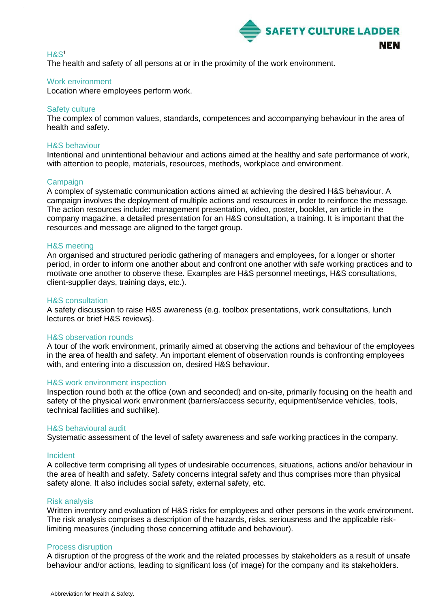

### H&S<sup>1</sup>

The health and safety of all persons at or in the proximity of the work environment.

### Work environment

Location where employees perform work.

### Safety culture

The complex of common values, standards, competences and accompanying behaviour in the area of health and safety.

### H&S behaviour

Intentional and unintentional behaviour and actions aimed at the healthy and safe performance of work, with attention to people, materials, resources, methods, workplace and environment.

### Campaign

A complex of systematic communication actions aimed at achieving the desired H&S behaviour. A campaign involves the deployment of multiple actions and resources in order to reinforce the message. The action resources include: management presentation, video, poster, booklet, an article in the company magazine, a detailed presentation for an H&S consultation, a training. It is important that the resources and message are aligned to the target group.

### H&S meeting

An organised and structured periodic gathering of managers and employees, for a longer or shorter period, in order to inform one another about and confront one another with safe working practices and to motivate one another to observe these. Examples are H&S personnel meetings, H&S consultations, client-supplier days, training days, etc.).

### H&S consultation

A safety discussion to raise H&S awareness (e.g. toolbox presentations, work consultations, lunch lectures or brief H&S reviews).

### H&S observation rounds

A tour of the work environment, primarily aimed at observing the actions and behaviour of the employees in the area of health and safety. An important element of observation rounds is confronting employees with, and entering into a discussion on, desired H&S behaviour.

### H&S work environment inspection

Inspection round both at the office (own and seconded) and on-site, primarily focusing on the health and safety of the physical work environment (barriers/access security, equipment/service vehicles, tools, technical facilities and suchlike).

### H&S behavioural audit

Systematic assessment of the level of safety awareness and safe working practices in the company.

### Incident

A collective term comprising all types of undesirable occurrences, situations, actions and/or behaviour in the area of health and safety. Safety concerns integral safety and thus comprises more than physical safety alone. It also includes social safety, external safety, etc.

### Risk analysis

l

Written inventory and evaluation of H&S risks for employees and other persons in the work environment. The risk analysis comprises a description of the hazards, risks, seriousness and the applicable risklimiting measures (including those concerning attitude and behaviour).

### Process disruption

A disruption of the progress of the work and the related processes by stakeholders as a result of unsafe behaviour and/or actions, leading to significant loss (of image) for the company and its stakeholders.

<sup>&</sup>lt;sup>1</sup> Abbreviation for Health & Safety.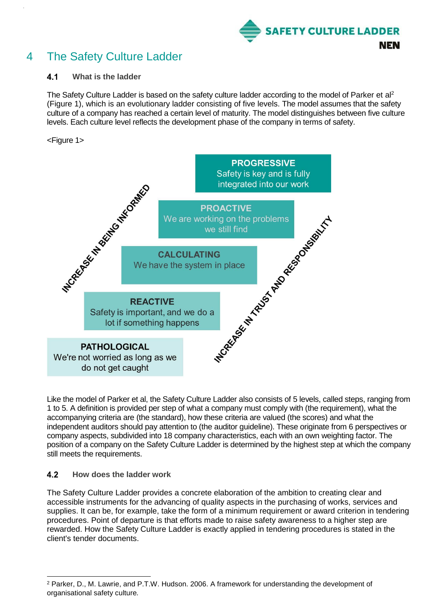

# <span id="page-9-0"></span>4 The Safety Culture Ladder

#### <span id="page-9-1"></span> $4.1$ **What is the ladder**

The Safety Culture Ladder is based on the safety culture ladder according to the model of Parker et al<sup>2</sup> (Figure 1), which is an evolutionary ladder consisting of five levels. The model assumes that the safety culture of a company has reached a certain level of maturity. The model distinguishes between five culture levels. Each culture level reflects the development phase of the company in terms of safety.

### <Figure 1>



Like the model of Parker et al, the Safety Culture Ladder also consists of 5 levels, called steps, ranging from 1 to 5. A definition is provided per step of what a company must comply with (the requirement), what the accompanying criteria are (the standard), how these criteria are valued (the scores) and what the independent auditors should pay attention to (the auditor guideline). These originate from 6 perspectives or company aspects, subdivided into 18 company characteristics, each with an own weighting factor. The position of a company on the Safety Culture Ladder is determined by the highest step at which the company still meets the requirements.

#### <span id="page-9-2"></span> $4.2$ **How does the ladder work**

l

The Safety Culture Ladder provides a concrete elaboration of the ambition to creating clear and accessible instruments for the advancing of quality aspects in the purchasing of works, services and supplies. It can be, for example, take the form of a minimum requirement or award criterion in tendering procedures. Point of departure is that efforts made to raise safety awareness to a higher step are rewarded. How the Safety Culture Ladder is exactly applied in tendering procedures is stated in the client's tender documents.

<sup>2</sup> Parker, D., M. Lawrie, and P.T.W. Hudson. 2006. A framework for understanding the development of organisational safety culture*.*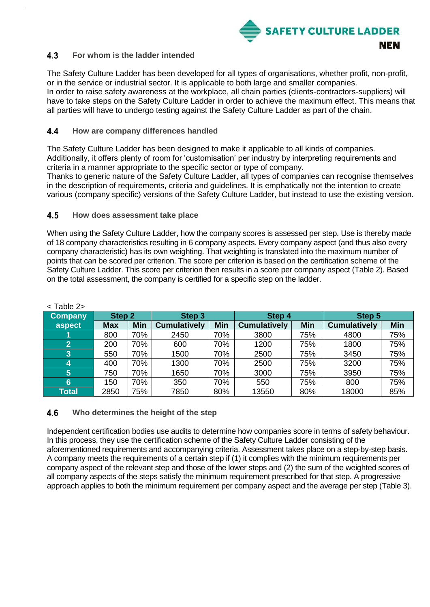

#### <span id="page-10-0"></span> $4.3$ **For whom is the ladder intended**

The Safety Culture Ladder has been developed for all types of organisations, whether profit, non-profit, or in the service or industrial sector. It is applicable to both large and smaller companies. In order to raise safety awareness at the workplace, all chain parties (clients-contractors-suppliers) will have to take steps on the Safety Culture Ladder in order to achieve the maximum effect. This means that all parties will have to undergo testing against the Safety Culture Ladder as part of the chain.

#### <span id="page-10-1"></span> $4.4$ **How are company differences handled**

The Safety Culture Ladder has been designed to make it applicable to all kinds of companies. Additionally, it offers plenty of room for 'customisation' per industry by interpreting requirements and criteria in a manner appropriate to the specific sector or type of company.

Thanks to generic nature of the Safety Culture Ladder, all types of companies can recognise themselves in the description of requirements, criteria and guidelines. It is emphatically not the intention to create various (company specific) versions of the Safety Culture Ladder, but instead to use the existing version.

#### <span id="page-10-2"></span>4.5 **How does assessment take place**

When using the Safety Culture Ladder, how the company scores is assessed per step. Use is thereby made of 18 company characteristics resulting in 6 company aspects. Every company aspect (and thus also every company characteristic) has its own weighting. That weighting is translated into the maximum number of points that can be scored per criterion. The score per criterion is based on the certification scheme of the Safety Culture Ladder. This score per criterion then results in a score per company aspect (Table 2). Based on the total assessment, the company is certified for a specific step on the ladder.

| $1$ GDIC 22    |                   |            |                     |            |                     |            |                     |            |
|----------------|-------------------|------------|---------------------|------------|---------------------|------------|---------------------|------------|
| <b>Company</b> | Step <sub>2</sub> |            | Step <sub>3</sub>   |            | Step 4              |            | Step 5              |            |
| aspect         | <b>Max</b>        | <b>Min</b> | <b>Cumulatively</b> | <b>Min</b> | <b>Cumulatively</b> | <b>Min</b> | <b>Cumulatively</b> | <b>Min</b> |
|                | 800               | 70%        | 2450                | 70%        | 3800                | 75%        | 4800                | 75%        |
| $\overline{2}$ | 200               | 70%        | 600                 | 70%        | 1200                | 75%        | 1800                | 75%        |
| 3              | 550               | 70%        | 1500                | 70%        | 2500                | 75%        | 3450                | 75%        |
| 4              | 400               | 70%        | 1300                | 70%        | 2500                | 75%        | 3200                | 75%        |
| $\overline{5}$ | 750               | 70%        | 1650                | 70%        | 3000                | 75%        | 3950                | 75%        |
| 6              | 150               | 70%        | 350                 | 70%        | 550                 | 75%        | 800                 | 75%        |
| Total          | 2850              | 75%        | 7850                | 80%        | 13550               | 80%        | 18000               | 85%        |

| able |
|------|
|------|

#### <span id="page-10-3"></span>4.6 **Who determines the height of the step**

Independent certification bodies use audits to determine how companies score in terms of safety behaviour. In this process, they use the certification scheme of the Safety Culture Ladder consisting of the aforementioned requirements and accompanying criteria. Assessment takes place on a step-by-step basis. A company meets the requirements of a certain step if (1) it complies with the minimum requirements per company aspect of the relevant step and those of the lower steps and (2) the sum of the weighted scores of all company aspects of the steps satisfy the minimum requirement prescribed for that step. A progressive approach applies to both the minimum requirement per company aspect and the average per step (Table 3).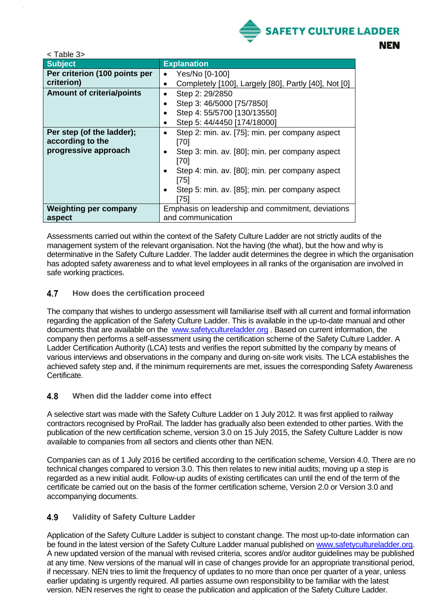

| <table 3=""></table>             |                                                      |
|----------------------------------|------------------------------------------------------|
| <b>Subject</b>                   | <b>Explanation</b>                                   |
| Per criterion (100 points per    | Yes/No [0-100]<br>٠                                  |
| criterion)                       | Completely [100], Largely [80], Partly [40], Not [0] |
| <b>Amount of criteria/points</b> | Step 2: 29/2850<br>$\bullet$                         |
|                                  | Step 3: 46/5000 [75/7850]                            |
|                                  | Step 4: 55/5700 [130/13550]                          |
|                                  | Step 5: 44/4450 [174/18000]                          |
| Per step (of the ladder);        | Step 2: min. av. [75]; min. per company aspect<br>٠  |
| according to the                 | [70]                                                 |
| progressive approach             | Step 3: min. av. [80]; min. per company aspect       |
|                                  | [70]                                                 |
|                                  | Step 4: min. av. [80]; min. per company aspect       |
|                                  | [75]                                                 |
|                                  | Step 5: min. av. [85]; min. per company aspect       |
|                                  | [75]                                                 |
| <b>Weighting per company</b>     | Emphasis on leadership and commitment, deviations    |
| aspect                           | and communication                                    |

Assessments carried out within the context of the Safety Culture Ladder are not strictly audits of the management system of the relevant organisation. Not the having (the what), but the how and why is determinative in the Safety Culture Ladder. The ladder audit determines the degree in which the organisation has adopted safety awareness and to what level employees in all ranks of the organisation are involved in safe working practices.

#### <span id="page-11-0"></span>4.7 **How does the certification proceed**

The company that wishes to undergo assessment will familiarise itself with all current and formal information regarding the application of the Safety Culture Ladder. This is available in the up-to-date manual and other documents that are available on the [www.safetycultureladder.org](http://www.safetycultureladder.org/) . Based on current information, the company then performs a self-assessment using the certification scheme of the Safety Culture Ladder. A Ladder Certification Authority (LCA) tests and verifies the report submitted by the company by means of various interviews and observations in the company and during on-site work visits. The LCA establishes the achieved safety step and, if the minimum requirements are met, issues the corresponding Safety Awareness Certificate.

#### <span id="page-11-1"></span>4.8 **When did the ladder come into effect**

A selective start was made with the Safety Culture Ladder on 1 July 2012. It was first applied to railway contractors recognised by ProRail. The ladder has gradually also been extended to other parties. With the publication of the new certification scheme, version 3.0 on 15 July 2015, the Safety Culture Ladder is now available to companies from all sectors and clients other than NEN.

Companies can as of 1 July 2016 be certified according to the certification scheme, Version 4.0. There are no technical changes compared to version 3.0. This then relates to new initial audits; moving up a step is regarded as a new initial audit. Follow-up audits of existing certificates can until the end of the term of the certificate be carried out on the basis of the former certification scheme, Version 2.0 or Version 3.0 and accompanying documents.

#### <span id="page-11-2"></span>4.9 **Validity of Safety Culture Ladder**

Application of the Safety Culture Ladder is subject to constant change. The most up-to-date information can be found in the latest version of the Safety Culture Ladder manual published on [www.safetycultureladder.org.](http://www.safetycultureladder.org/) A new updated version of the manual with revised criteria, scores and/or auditor guidelines may be published at any time. New versions of the manual will in case of changes provide for an appropriate transitional period, if necessary. NEN tries to limit the frequency of updates to no more than once per quarter of a year, unless earlier updating is urgently required. All parties assume own responsibility to be familiar with the latest version. NEN reserves the right to cease the publication and application of the Safety Culture Ladder.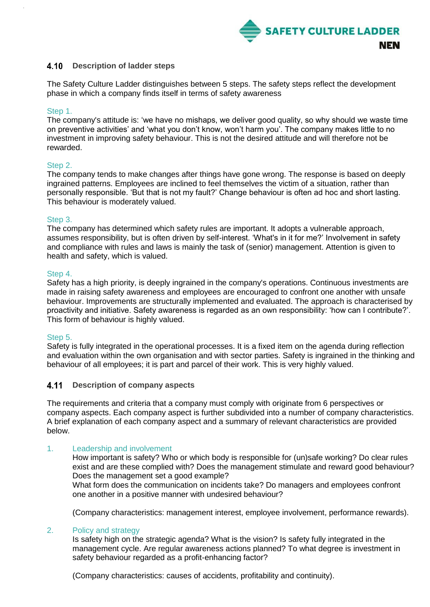

#### <span id="page-12-0"></span>4.10 **Description of ladder steps**

The Safety Culture Ladder distinguishes between 5 steps. The safety steps reflect the development phase in which a company finds itself in terms of safety awareness

### Step 1.

The company's attitude is: 'we have no mishaps, we deliver good quality, so why should we waste time on preventive activities' and 'what you don't know, won't harm you'. The company makes little to no investment in improving safety behaviour. This is not the desired attitude and will therefore not be rewarded.

### Step 2.

The company tends to make changes after things have gone wrong. The response is based on deeply ingrained patterns. Employees are inclined to feel themselves the victim of a situation, rather than personally responsible. 'But that is not my fault?' Change behaviour is often ad hoc and short lasting. This behaviour is moderately valued.

### Step 3.

The company has determined which safety rules are important. It adopts a vulnerable approach, assumes responsibility, but is often driven by self-interest. 'What's in it for me?' Involvement in safety and compliance with rules and laws is mainly the task of (senior) management. Attention is given to health and safety, which is valued.

### Step 4.

Safety has a high priority, is deeply ingrained in the company's operations. Continuous investments are made in raising safety awareness and employees are encouraged to confront one another with unsafe behaviour. Improvements are structurally implemented and evaluated. The approach is characterised by proactivity and initiative. Safety awareness is regarded as an own responsibility: 'how can I contribute?'. This form of behaviour is highly valued.

### Step 5.

Safety is fully integrated in the operational processes. It is a fixed item on the agenda during reflection and evaluation within the own organisation and with sector parties. Safety is ingrained in the thinking and behaviour of all employees; it is part and parcel of their work. This is very highly valued.

#### <span id="page-12-1"></span> $4.11$ **Description of company aspects**

The requirements and criteria that a company must comply with originate from 6 perspectives or company aspects. Each company aspect is further subdivided into a number of company characteristics. A brief explanation of each company aspect and a summary of relevant characteristics are provided below.

### 1. Leadership and involvement

How important is safety? Who or which body is responsible for (un)safe working? Do clear rules exist and are these complied with? Does the management stimulate and reward good behaviour? Does the management set a good example?

What form does the communication on incidents take? Do managers and employees confront one another in a positive manner with undesired behaviour?

(Company characteristics: management interest, employee involvement, performance rewards).

### 2. Policy and strategy

Is safety high on the strategic agenda? What is the vision? Is safety fully integrated in the management cycle. Are regular awareness actions planned? To what degree is investment in safety behaviour regarded as a profit-enhancing factor?

(Company characteristics: causes of accidents, profitability and continuity).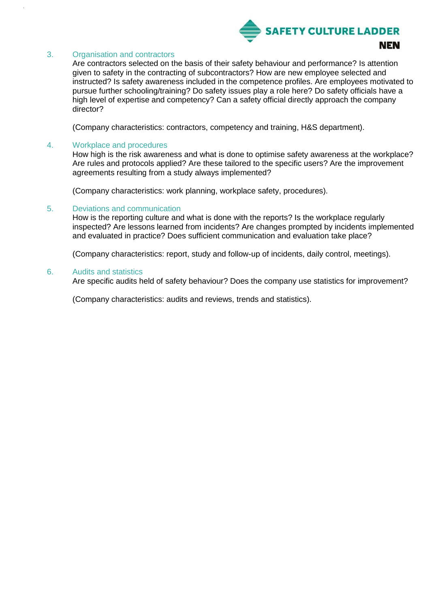

### 3. Organisation and contractors

Are contractors selected on the basis of their safety behaviour and performance? Is attention given to safety in the contracting of subcontractors? How are new employee selected and instructed? Is safety awareness included in the competence profiles. Are employees motivated to pursue further schooling/training? Do safety issues play a role here? Do safety officials have a high level of expertise and competency? Can a safety official directly approach the company director?

(Company characteristics: contractors, competency and training, H&S department).

### 4. Workplace and procedures

How high is the risk awareness and what is done to optimise safety awareness at the workplace? Are rules and protocols applied? Are these tailored to the specific users? Are the improvement agreements resulting from a study always implemented?

(Company characteristics: work planning, workplace safety, procedures).

### 5. Deviations and communication

How is the reporting culture and what is done with the reports? Is the workplace regularly inspected? Are lessons learned from incidents? Are changes prompted by incidents implemented and evaluated in practice? Does sufficient communication and evaluation take place?

(Company characteristics: report, study and follow-up of incidents, daily control, meetings).

### 6. Audits and statistics

Are specific audits held of safety behaviour? Does the company use statistics for improvement?

(Company characteristics: audits and reviews, trends and statistics).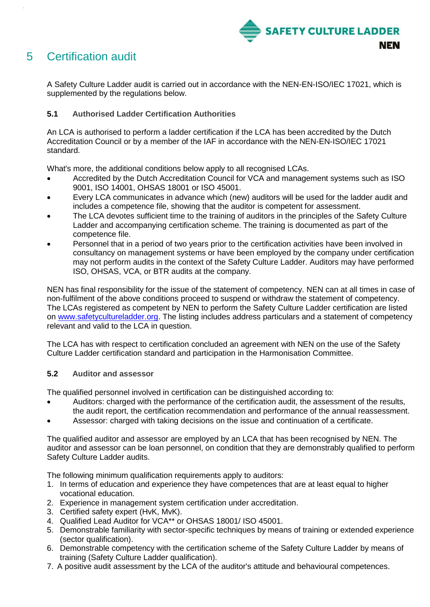

# <span id="page-14-0"></span>5 Certification audit

A Safety Culture Ladder audit is carried out in accordance with the NEN-EN-ISO/IEC 17021, which is supplemented by the regulations below.

### <span id="page-14-1"></span>**5.1 Authorised Ladder Certification Authorities**

An LCA is authorised to perform a ladder certification if the LCA has been accredited by the Dutch Accreditation Council or by a member of the IAF in accordance with the NEN-EN-ISO/IEC 17021 standard.

What's more, the additional conditions below apply to all recognised LCAs.

- Accredited by the Dutch Accreditation Council for VCA and management systems such as ISO 9001, ISO 14001, OHSAS 18001 or ISO 45001.
- Every LCA communicates in advance which (new) auditors will be used for the ladder audit and includes a competence file, showing that the auditor is competent for assessment.
- The LCA devotes sufficient time to the training of auditors in the principles of the Safety Culture Ladder and accompanying certification scheme. The training is documented as part of the competence file.
- Personnel that in a period of two years prior to the certification activities have been involved in consultancy on management systems or have been employed by the company under certification may not perform audits in the context of the Safety Culture Ladder. Auditors may have performed ISO, OHSAS, VCA, or BTR audits at the company.

NEN has final responsibility for the issue of the statement of competency. NEN can at all times in case of non-fulfilment of the above conditions proceed to suspend or withdraw the statement of competency. The LCAs registered as competent by NEN to perform the Safety Culture Ladder certification are listed on [www.safetycultureladder.org.](http://www.safetycultureladder.org/) The listing includes address particulars and a statement of competency relevant and valid to the LCA in question.

The LCA has with respect to certification concluded an agreement with NEN on the use of the Safety Culture Ladder certification standard and participation in the Harmonisation Committee.

### <span id="page-14-2"></span>**5.2 Auditor and assessor**

The qualified personnel involved in certification can be distinguished according to:

- Auditors: charged with the performance of the certification audit, the assessment of the results, the audit report, the certification recommendation and performance of the annual reassessment.
- Assessor: charged with taking decisions on the issue and continuation of a certificate.

The qualified auditor and assessor are employed by an LCA that has been recognised by NEN. The auditor and assessor can be loan personnel, on condition that they are demonstrably qualified to perform Safety Culture Ladder audits.

The following minimum qualification requirements apply to auditors:

- 1. In terms of education and experience they have competences that are at least equal to higher vocational education.
- 2. Experience in management system certification under accreditation.
- 3. Certified safety expert (HvK, MvK).
- 4. Qualified Lead Auditor for VCA\*\* or OHSAS 18001/ ISO 45001.
- 5. Demonstrable familiarity with sector-specific techniques by means of training or extended experience (sector qualification).
- 6. Demonstrable competency with the certification scheme of the Safety Culture Ladder by means of training (Safety Culture Ladder qualification).
- 7. A positive audit assessment by the LCA of the auditor's attitude and behavioural competences.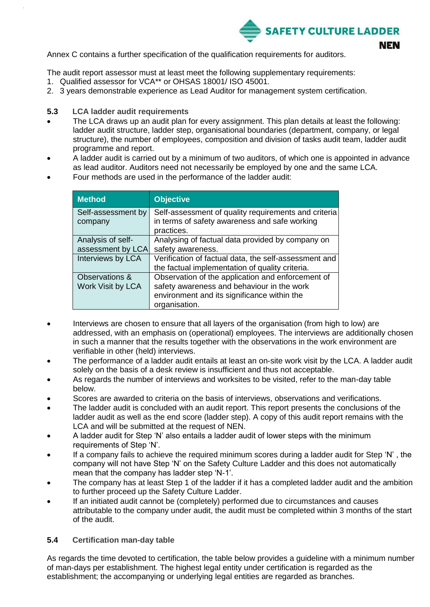

Annex C contains a further specification of the qualification requirements for auditors.

The audit report assessor must at least meet the following supplementary requirements:

- 1. Qualified assessor for VCA\*\* or OHSAS 18001/ ISO 45001.
- 2. 3 years demonstrable experience as Lead Auditor for management system certification.

### <span id="page-15-0"></span>**5.3 LCA ladder audit requirements**

- The LCA draws up an audit plan for every assignment. This plan details at least the following: ladder audit structure, ladder step, organisational boundaries (department, company, or legal structure), the number of employees, composition and division of tasks audit team, ladder audit programme and report.
- A ladder audit is carried out by a minimum of two auditors, of which one is appointed in advance as lead auditor. Auditors need not necessarily be employed by one and the same LCA.
- Four methods are used in the performance of the ladder audit:

| <b>Method</b>                          | <b>Objective</b>                                                                                                                                                |
|----------------------------------------|-----------------------------------------------------------------------------------------------------------------------------------------------------------------|
| Self-assessment by<br>company          | Self-assessment of quality requirements and criteria<br>in terms of safety awareness and safe working<br>practices.                                             |
| Analysis of self-<br>assessment by LCA | Analysing of factual data provided by company on<br>safety awareness.                                                                                           |
| Interviews by LCA                      | Verification of factual data, the self-assessment and<br>the factual implementation of quality criteria.                                                        |
| Observations &<br>Work Visit by LCA    | Observation of the application and enforcement of<br>safety awareness and behaviour in the work<br>environment and its significance within the<br>organisation. |

- Interviews are chosen to ensure that all layers of the organisation (from high to low) are addressed, with an emphasis on (operational) employees. The interviews are additionally chosen in such a manner that the results together with the observations in the work environment are verifiable in other (held) interviews.
- The performance of a ladder audit entails at least an on-site work visit by the LCA. A ladder audit solely on the basis of a desk review is insufficient and thus not acceptable.
- As regards the number of interviews and worksites to be visited, refer to the man-day table below.
- Scores are awarded to criteria on the basis of interviews, observations and verifications.
- The ladder audit is concluded with an audit report. This report presents the conclusions of the ladder audit as well as the end score (ladder step). A copy of this audit report remains with the LCA and will be submitted at the request of NEN.
- A ladder audit for Step 'N' also entails a ladder audit of lower steps with the minimum requirements of Step 'N'.
- If a company fails to achieve the required minimum scores during a ladder audit for Step 'N' , the company will not have Step 'N' on the Safety Culture Ladder and this does not automatically mean that the company has ladder step 'N-1'.
- The company has at least Step 1 of the ladder if it has a completed ladder audit and the ambition to further proceed up the Safety Culture Ladder.
- If an initiated audit cannot be (completely) performed due to circumstances and causes attributable to the company under audit, the audit must be completed within 3 months of the start of the audit.

### <span id="page-15-1"></span>**5.4 Certification man-day table**

As regards the time devoted to certification, the table below provides a guideline with a minimum number of man-days per establishment. The highest legal entity under certification is regarded as the establishment; the accompanying or underlying legal entities are regarded as branches.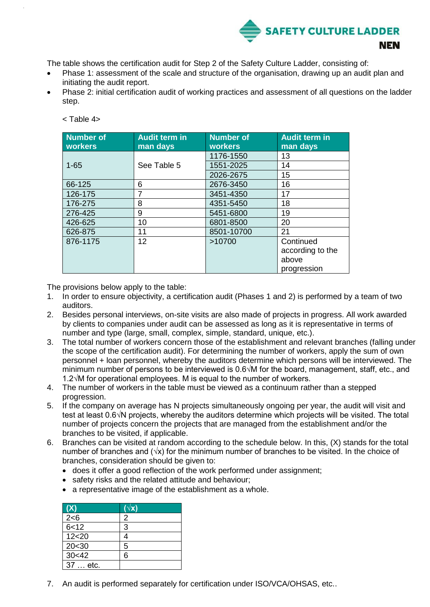

The table shows the certification audit for Step 2 of the Safety Culture Ladder, consisting of:

- Phase 1: assessment of the scale and structure of the organisation, drawing up an audit plan and initiating the audit report.
- Phase 2: initial certification audit of working practices and assessment of all questions on the ladder step.

| Number of<br>workers | <b>Audit term in</b><br>man days | <b>Number of</b><br>workers | <b>Audit term in</b><br>man days |
|----------------------|----------------------------------|-----------------------------|----------------------------------|
|                      |                                  | 1176-1550                   | 13                               |
| $1 - 65$             | See Table 5                      | 1551-2025                   | 14                               |
|                      |                                  | 2026-2675                   | 15                               |
| 66-125               | 6                                | 2676-3450                   | 16                               |
| 126-175              | 7                                | 3451-4350                   | 17                               |
| 176-275              | 8                                | 4351-5450                   | 18                               |
| 276-425              | 9                                | 5451-6800                   | 19                               |
| 426-625              | 10                               | 6801-8500                   | 20                               |
| 626-875              | 11                               | 8501-10700                  | 21                               |
| 876-1175             | 12                               | >10700                      | Continued                        |
|                      |                                  |                             | according to the                 |
|                      |                                  |                             | above                            |
|                      |                                  |                             | progression                      |

< Table 4>

The provisions below apply to the table:

- 1. In order to ensure objectivity, a certification audit (Phases 1 and 2) is performed by a team of two auditors.
- 2. Besides personal interviews, on-site visits are also made of projects in progress. All work awarded by clients to companies under audit can be assessed as long as it is representative in terms of number and type (large, small, complex, simple, standard, unique, etc.).
- 3. The total number of workers concern those of the establishment and relevant branches (falling under the scope of the certification audit). For determining the number of workers, apply the sum of own personnel + loan personnel, whereby the auditors determine which persons will be interviewed. The minimum number of persons to be interviewed is 0.6√M for the board, management, staff, etc., and 1.2√M for operational employees. M is equal to the number of workers.
- 4. The number of workers in the table must be viewed as a continuum rather than a stepped progression.
- 5. If the company on average has N projects simultaneously ongoing per year, the audit will visit and test at least 0.6√N projects, whereby the auditors determine which projects will be visited. The total number of projects concern the projects that are managed from the establishment and/or the branches to be visited, if applicable.
- 6. Branches can be visited at random according to the schedule below. In this, (X) stands for the total number of branches and  $(\sqrt{x})$  for the minimum number of branches to be visited. In the choice of branches, consideration should be given to:
	- does it offer a good reflection of the work performed under assignment;
	- safety risks and the related attitude and behaviour;
	- a representative image of the establishment as a whole.

| (X)      | $(\overline{\vee x})$ |
|----------|-----------------------|
| 2 < 6    | 2                     |
| 6 < 12   | 3                     |
| 12 < 20  | 4                     |
| 20<30    | 5                     |
| 30<42    | 6                     |
| 37  etc. |                       |

7. An audit is performed separately for certification under ISO/VCA/OHSAS, etc..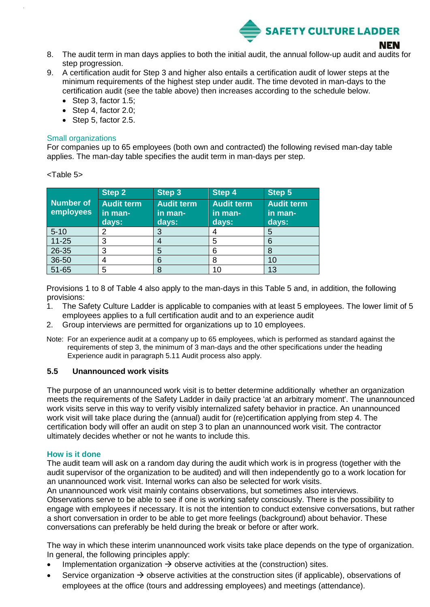

- 8. The audit term in man days applies to both the initial audit, the annual follow-up audit and audits for step progression.
- 9. A certification audit for Step 3 and higher also entails a certification audit of lower steps at the minimum requirements of the highest step under audit. The time devoted in man-days to the certification audit (see the table above) then increases according to the schedule below.
	- Step 3, factor 1.5;
	- Step 4, factor 2.0;
	- Step 5, factor 2.5.

### Small organizations

For companies up to 65 employees (both own and contracted) the following revised man-day table applies. The man-day table specifies the audit term in man-days per step.

| Number of<br>employees | Step 2<br><b>Audit term</b><br>in man-<br>days: | Step 3<br><b>Audit term</b><br>in man-<br>days: | Step 4<br><b>Audit term</b><br>in man-<br>days: | Step 5<br><b>Audit term</b><br>in man-<br>days: |
|------------------------|-------------------------------------------------|-------------------------------------------------|-------------------------------------------------|-------------------------------------------------|
| $5 - 10$               | 2                                               | 3                                               |                                                 | 5                                               |
| $11 - 25$              | 3                                               |                                                 | 5                                               | 6                                               |
| $26 - 35$              | 3                                               | 5                                               | 6                                               | 8                                               |
| 36-50                  | 4                                               | 6                                               | 8                                               | 10                                              |
| 51-65                  | 5                                               | 8                                               | 10                                              | 13                                              |

<Table 5>

Provisions 1 to 8 of Table 4 also apply to the man-days in this Table 5 and, in addition, the following provisions:

- 1. The Safety Culture Ladder is applicable to companies with at least 5 employees. The lower limit of 5 employees applies to a full certification audit and to an experience audit
- 2. Group interviews are permitted for organizations up to 10 employees.
- Note: For an experience audit at a company up to 65 employees, which is performed as standard against the requirements of step 3, the minimum of 3 man-days and the other specifications under the heading Experience audit in paragraph 5.11 Audit process also apply.

### <span id="page-17-0"></span>**5.5 Unannounced work visits**

The purpose of an unannounced work visit is to better determine additionally whether an organization meets the requirements of the Safety Ladder in daily practice 'at an arbitrary moment'. The unannounced work visits serve in this way to verify visibly internalized safety behavior in practice. An unannounced work visit will take place during the (annual) audit for (re)certification applying from step 4. The certification body will offer an audit on step 3 to plan an unannounced work visit. The contractor ultimately decides whether or not he wants to include this.

### **How is it done**

The audit team will ask on a random day during the audit which work is in progress (together with the audit supervisor of the organization to be audited) and will then independently go to a work location for an unannounced work visit. Internal works can also be selected for work visits.

An unannounced work visit mainly contains observations, but sometimes also interviews. Observations serve to be able to see if one is working safety consciously. There is the possibility to engage with employees if necessary. It is not the intention to conduct extensive conversations, but rather a short conversation in order to be able to get more feelings (background) about behavior. These conversations can preferably be held during the break or before or after work.

The way in which these interim unannounced work visits take place depends on the type of organization. In general, the following principles apply:

- Implementation organization  $\rightarrow$  observe activities at the (construction) sites.
- Service organization  $\rightarrow$  observe activities at the construction sites (if applicable), observations of employees at the office (tours and addressing employees) and meetings (attendance).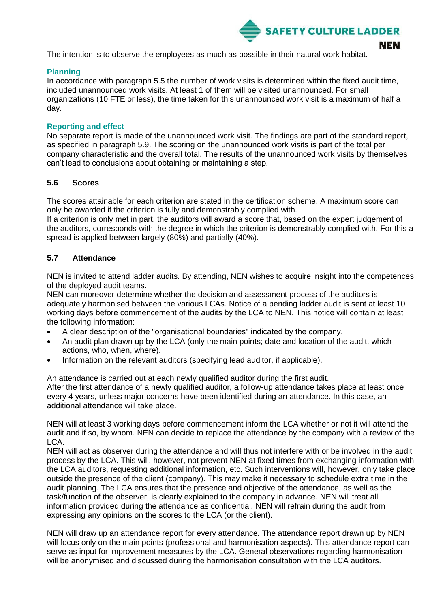

The intention is to observe the employees as much as possible in their natural work habitat.

### **Planning**

In accordance with paragraph 5.5 the number of work visits is determined within the fixed audit time, included unannounced work visits. At least 1 of them will be visited unannounced. For small organizations (10 FTE or less), the time taken for this unannounced work visit is a maximum of half a day.

### **Reporting and effect**

No separate report is made of the unannounced work visit. The findings are part of the standard report, as specified in paragraph 5.9. The scoring on the unannounced work visits is part of the total per company characteristic and the overall total. The results of the unannounced work visits by themselves can't lead to conclusions about obtaining or maintaining a step.

### <span id="page-18-0"></span>**5.6 Scores**

The scores attainable for each criterion are stated in the certification scheme. A maximum score can only be awarded if the criterion is fully and demonstrably complied with.

If a criterion is only met in part, the auditors will award a score that, based on the expert judgement of the auditors, corresponds with the degree in which the criterion is demonstrably complied with. For this a spread is applied between largely (80%) and partially (40%).

### <span id="page-18-1"></span>**5.7 Attendance**

NEN is invited to attend ladder audits. By attending, NEN wishes to acquire insight into the competences of the deployed audit teams.

NEN can moreover determine whether the decision and assessment process of the auditors is adequately harmonised between the various LCAs. Notice of a pending ladder audit is sent at least 10 working days before commencement of the audits by the LCA to NEN. This notice will contain at least the following information:

- A clear description of the "organisational boundaries" indicated by the company.
- An audit plan drawn up by the LCA (only the main points; date and location of the audit, which actions, who, when, where).
- Information on the relevant auditors (specifying lead auditor, if applicable).

An attendance is carried out at each newly qualified auditor during the first audit. After the first attendance of a newly qualified auditor, a follow-up attendance takes place at least once every 4 years, unless major concerns have been identified during an attendance. In this case, an additional attendance will take place.

NEN will at least 3 working days before commencement inform the LCA whether or not it will attend the audit and if so, by whom. NEN can decide to replace the attendance by the company with a review of the LCA.

NEN will act as observer during the attendance and will thus not interfere with or be involved in the audit process by the LCA. This will, however, not prevent NEN at fixed times from exchanging information with the LCA auditors, requesting additional information, etc. Such interventions will, however, only take place outside the presence of the client (company). This may make it necessary to schedule extra time in the audit planning. The LCA ensures that the presence and objective of the attendance, as well as the task/function of the observer, is clearly explained to the company in advance. NEN will treat all information provided during the attendance as confidential. NEN will refrain during the audit from expressing any opinions on the scores to the LCA (or the client).

NEN will draw up an attendance report for every attendance. The attendance report drawn up by NEN will focus only on the main points (professional and harmonisation aspects). This attendance report can serve as input for improvement measures by the LCA. General observations regarding harmonisation will be anonymised and discussed during the harmonisation consultation with the LCA auditors.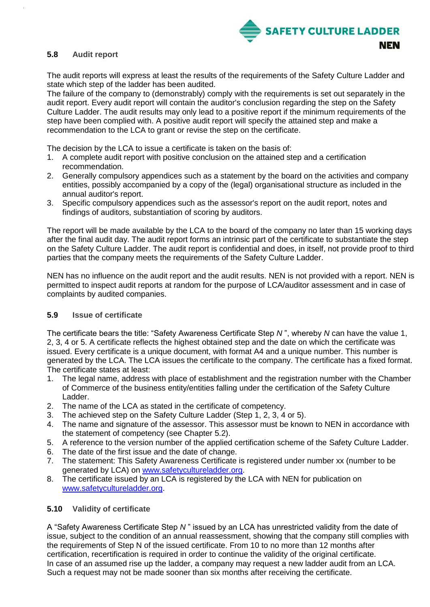

### <span id="page-19-0"></span>**5.8 Audit report**

The audit reports will express at least the results of the requirements of the Safety Culture Ladder and state which step of the ladder has been audited.

The failure of the company to (demonstrably) comply with the requirements is set out separately in the audit report. Every audit report will contain the auditor's conclusion regarding the step on the Safety Culture Ladder. The audit results may only lead to a positive report if the minimum requirements of the step have been complied with. A positive audit report will specify the attained step and make a recommendation to the LCA to grant or revise the step on the certificate.

The decision by the LCA to issue a certificate is taken on the basis of:

- 1. A complete audit report with positive conclusion on the attained step and a certification recommendation.
- 2. Generally compulsory appendices such as a statement by the board on the activities and company entities, possibly accompanied by a copy of the (legal) organisational structure as included in the annual auditor's report.
- 3. Specific compulsory appendices such as the assessor's report on the audit report, notes and findings of auditors, substantiation of scoring by auditors.

The report will be made available by the LCA to the board of the company no later than 15 working days after the final audit day. The audit report forms an intrinsic part of the certificate to substantiate the step on the Safety Culture Ladder. The audit report is confidential and does, in itself, not provide proof to third parties that the company meets the requirements of the Safety Culture Ladder.

NEN has no influence on the audit report and the audit results. NEN is not provided with a report. NEN is permitted to inspect audit reports at random for the purpose of LCA/auditor assessment and in case of complaints by audited companies.

### <span id="page-19-1"></span>**5.9 Issue of certificate**

The certificate bears the title: "Safety Awareness Certificate Step *N* ", whereby *N* can have the value 1, 2, 3, 4 or 5. A certificate reflects the highest obtained step and the date on which the certificate was issued. Every certificate is a unique document, with format A4 and a unique number. This number is generated by the LCA. The LCA issues the certificate to the company. The certificate has a fixed format. The certificate states at least:

- 1. The legal name, address with place of establishment and the registration number with the Chamber of Commerce of the business entity/entities falling under the certification of the Safety Culture Ladder.
- 2. The name of the LCA as stated in the certificate of competency.
- 3. The achieved step on the Safety Culture Ladder (Step 1, 2, 3, 4 or 5).
- 4. The name and signature of the assessor. This assessor must be known to NEN in accordance with the statement of competency (see Chapter 5.2).
- 5. A reference to the version number of the applied certification scheme of the Safety Culture Ladder.
- 6. The date of the first issue and the date of change.
- 7. The statement: This Safety Awareness Certificate is registered under number xx (number to be generated by LCA) on [www.safetycultureladder.org.](http://www.safetycultureladder.org/)
- 8. The certificate issued by an LCA is registered by the LCA with NEN for publication on [www.safetycultureladder.org.](http://www.safetycultureladder.org/)

### <span id="page-19-2"></span>**5.10 Validity of certificate**

A "Safety Awareness Certificate Step *N* " issued by an LCA has unrestricted validity from the date of issue, subject to the condition of an annual reassessment, showing that the company still complies with the requirements of Step N of the issued certificate. From 10 to no more than 12 months after certification, recertification is required in order to continue the validity of the original certificate. In case of an assumed rise up the ladder, a company may request a new ladder audit from an LCA. Such a request may not be made sooner than six months after receiving the certificate.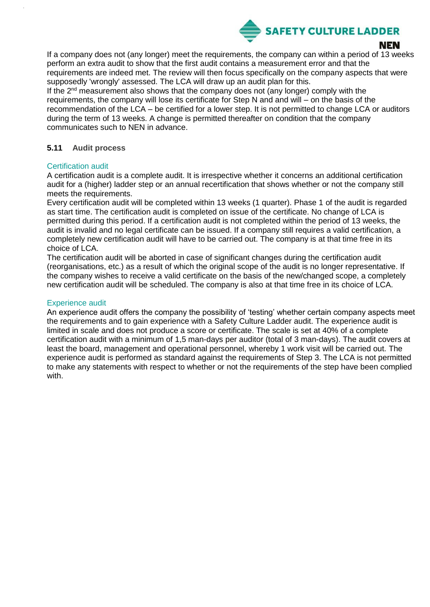

### NEN

If a company does not (any longer) meet the requirements, the company can within a period of 13 weeks perform an extra audit to show that the first audit contains a measurement error and that the requirements are indeed met. The review will then focus specifically on the company aspects that were supposedly 'wrongly' assessed. The LCA will draw up an audit plan for this.

If the  $2<sup>nd</sup>$  measurement also shows that the company does not (any longer) comply with the requirements, the company will lose its certificate for Step N and and will – on the basis of the recommendation of the LCA – be certified for a lower step. It is not permitted to change LCA or auditors during the term of 13 weeks. A change is permitted thereafter on condition that the company communicates such to NEN in advance.

### <span id="page-20-0"></span>**5.11 Audit process**

### Certification audit

A certification audit is a complete audit. It is irrespective whether it concerns an additional certification audit for a (higher) ladder step or an annual recertification that shows whether or not the company still meets the requirements.

Every certification audit will be completed within 13 weeks (1 quarter). Phase 1 of the audit is regarded as start time. The certification audit is completed on issue of the certificate. No change of LCA is permitted during this period. If a certification audit is not completed within the period of 13 weeks, the audit is invalid and no legal certificate can be issued. If a company still requires a valid certification, a completely new certification audit will have to be carried out. The company is at that time free in its choice of LCA.

The certification audit will be aborted in case of significant changes during the certification audit (reorganisations, etc.) as a result of which the original scope of the audit is no longer representative. If the company wishes to receive a valid certificate on the basis of the new/changed scope, a completely new certification audit will be scheduled. The company is also at that time free in its choice of LCA.

### Experience audit

An experience audit offers the company the possibility of 'testing' whether certain company aspects meet the requirements and to gain experience with a Safety Culture Ladder audit. The experience audit is limited in scale and does not produce a score or certificate. The scale is set at 40% of a complete certification audit with a minimum of 1,5 man-days per auditor (total of 3 man-days). The audit covers at least the board, management and operational personnel, whereby 1 work visit will be carried out. The experience audit is performed as standard against the requirements of Step 3. The LCA is not permitted to make any statements with respect to whether or not the requirements of the step have been complied with.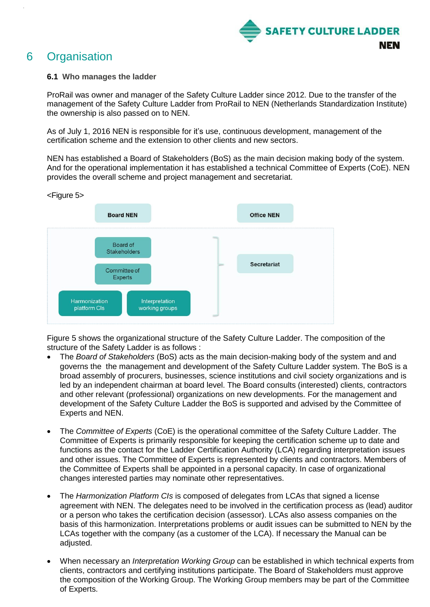

# <span id="page-21-0"></span>6 Organisation

### <span id="page-21-1"></span>**6.1 Who manages the ladder**

ProRail was owner and manager of the Safety Culture Ladder since 2012. Due to the transfer of the management of the Safety Culture Ladder from ProRail to NEN (Netherlands Standardization Institute) the ownership is also passed on to NEN.

As of July 1, 2016 NEN is responsible for it's use, continuous development, management of the certification scheme and the extension to other clients and new sectors.

NEN has established a Board of Stakeholders (BoS) as the main decision making body of the system. And for the operational implementation it has established a technical Committee of Experts (CoE). NEN provides the overall scheme and project management and secretariat.





Figure 5 shows the organizational structure of the Safety Culture Ladder. The composition of the structure of the Safety Ladder is as follows :

- The *Board of Stakeholders* (BoS) acts as the main decision-making body of the system and and governs the the management and development of the Safety Culture Ladder system. The BoS is a broad assembly of procurers, businesses, science institutions and civil society organizations and is led by an independent chairman at board level. The Board consults (interested) clients, contractors and other relevant (professional) organizations on new developments. For the management and development of the Safety Culture Ladder the BoS is supported and advised by the Committee of Experts and NEN.
- The *Committee of Experts* (CoE) is the operational committee of the Safety Culture Ladder. The Committee of Experts is primarily responsible for keeping the certification scheme up to date and functions as the contact for the Ladder Certification Authority (LCA) regarding interpretation issues and other issues. The Committee of Experts is represented by clients and contractors. Members of the Committee of Experts shall be appointed in a personal capacity. In case of organizational changes interested parties may nominate other representatives.
- The *Harmonization Platform CIs* is composed of delegates from LCAs that signed a license agreement with NEN. The delegates need to be involved in the certification process as (lead) auditor or a person who takes the certification decision (assessor). LCAs also assess companies on the basis of this harmonization. Interpretations problems or audit issues can be submitted to NEN by the LCAs together with the company (as a customer of the LCA). If necessary the Manual can be adjusted.
- When necessary an *Interpretation Working Group* can be established in which technical experts from clients, contractors and certifying institutions participate. The Board of Stakeholders must approve the composition of the Working Group. The Working Group members may be part of the Committee of Experts.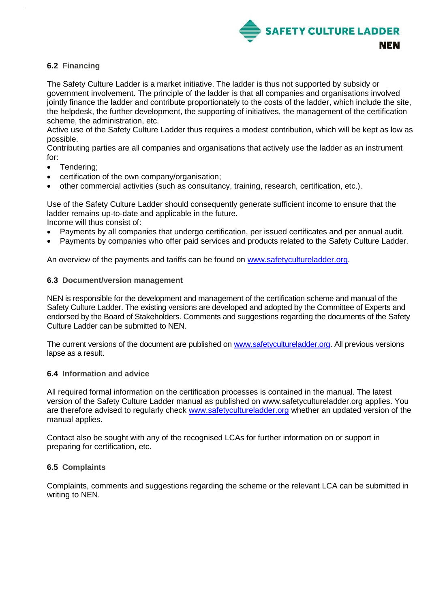

### <span id="page-22-0"></span>**6.2 Financing**

The Safety Culture Ladder is a market initiative. The ladder is thus not supported by subsidy or government involvement. The principle of the ladder is that all companies and organisations involved jointly finance the ladder and contribute proportionately to the costs of the ladder, which include the site, the helpdesk, the further development, the supporting of initiatives, the management of the certification scheme, the administration, etc.

Active use of the Safety Culture Ladder thus requires a modest contribution, which will be kept as low as possible.

Contributing parties are all companies and organisations that actively use the ladder as an instrument for:

- Tendering;
- certification of the own company/organisation;
- other commercial activities (such as consultancy, training, research, certification, etc.).

Use of the Safety Culture Ladder should consequently generate sufficient income to ensure that the ladder remains up-to-date and applicable in the future. Income will thus consist of:

- Payments by all companies that undergo certification, per issued certificates and per annual audit.
- Payments by companies who offer paid services and products related to the Safety Culture Ladder.

An overview of the payments and tariffs can be found on [www.safetycultureladder.org.](http://www.safetycultureladder.org/)

### <span id="page-22-1"></span>**6.3 Document/version management**

NEN is responsible for the development and management of the certification scheme and manual of the Safety Culture Ladder. The existing versions are developed and adopted by the Committee of Experts and endorsed by the Board of Stakeholders. Comments and suggestions regarding the documents of the Safety Culture Ladder can be submitted to NEN.

The current versions of the document are published on [www.safetycultureladder.org.](http://www.safetycultureladder.org/) All previous versions lapse as a result.

### <span id="page-22-2"></span>**6.4 Information and advice**

All required formal information on the certification processes is contained in the manual. The latest version of the Safety Culture Ladder manual as published on www.safetycultureladder.org applies. You are therefore advised to regularly check [www.safetycultureladder.org](http://www.veiligheidsladder.eu/) whether an updated version of the manual applies.

Contact also be sought with any of the recognised LCAs for further information on or support in preparing for certification, etc.

### <span id="page-22-3"></span>**6.5 Complaints**

Complaints, comments and suggestions regarding the scheme or the relevant LCA can be submitted in writing to NEN.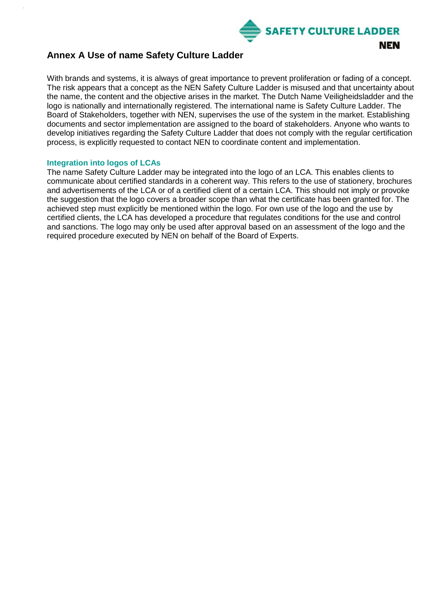

### <span id="page-23-0"></span>**Annex A Use of name Safety Culture Ladder**

With brands and systems, it is always of great importance to prevent proliferation or fading of a concept. The risk appears that a concept as the NEN Safety Culture Ladder is misused and that uncertainty about the name, the content and the objective arises in the market. The Dutch Name Veiligheidsladder and the logo is nationally and internationally registered. The international name is Safety Culture Ladder. The Board of Stakeholders, together with NEN, supervises the use of the system in the market. Establishing documents and sector implementation are assigned to the board of stakeholders. Anyone who wants to develop initiatives regarding the Safety Culture Ladder that does not comply with the regular certification process, is explicitly requested to contact NEN to coordinate content and implementation.

### <span id="page-23-1"></span>**Integration into logos of LCAs**

The name Safety Culture Ladder may be integrated into the logo of an LCA. This enables clients to communicate about certified standards in a coherent way. This refers to the use of stationery, brochures and advertisements of the LCA or of a certified client of a certain LCA. This should not imply or provoke the suggestion that the logo covers a broader scope than what the certificate has been granted for. The achieved step must explicitly be mentioned within the logo. For own use of the logo and the use by certified clients, the LCA has developed a procedure that regulates conditions for the use and control and sanctions. The logo may only be used after approval based on an assessment of the logo and the required procedure executed by NEN on behalf of the Board of Experts.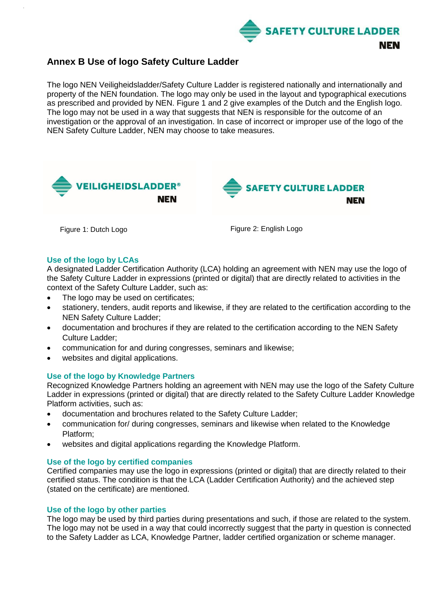

### <span id="page-24-0"></span>**Annex B Use of logo Safety Culture Ladder**

The logo NEN Veiligheidsladder/Safety Culture Ladder is registered nationally and internationally and property of the NEN foundation. The logo may only be used in the layout and typographical executions as prescribed and provided by NEN. Figure 1 and 2 give examples of the Dutch and the English logo. The logo may not be used in a way that suggests that NEN is responsible for the outcome of an investigation or the approval of an investigation. In case of incorrect or improper use of the logo of the NEN Safety Culture Ladder, NEN may choose to take measures.



Figure 1: Dutch Logo **Figure 2: English Logo** 

### <span id="page-24-1"></span>**Use of the logo by LCAs**

A designated Ladder Certification Authority (LCA) holding an agreement with NEN may use the logo of the Safety Culture Ladder in expressions (printed or digital) that are directly related to activities in the context of the Safety Culture Ladder, such as:

- The logo may be used on certificates;
- stationery, tenders, audit reports and likewise, if they are related to the certification according to the NEN Safety Culture Ladder;
- documentation and brochures if they are related to the certification according to the NEN Safety Culture Ladder;
- communication for and during congresses, seminars and likewise;
- websites and digital applications.

### <span id="page-24-2"></span>**Use of the logo by Knowledge Partners**

Recognized Knowledge Partners holding an agreement with NEN may use the logo of the Safety Culture Ladder in expressions (printed or digital) that are directly related to the Safety Culture Ladder Knowledge Platform activities, such as:

- documentation and brochures related to the Safety Culture Ladder;
- communication for/ during congresses, seminars and likewise when related to the Knowledge Platform;
- websites and digital applications regarding the Knowledge Platform.

### <span id="page-24-3"></span>**Use of the logo by certified companies**

Certified companies may use the logo in expressions (printed or digital) that are directly related to their certified status. The condition is that the LCA (Ladder Certification Authority) and the achieved step (stated on the certificate) are mentioned.

### <span id="page-24-4"></span>**Use of the logo by other parties**

The logo may be used by third parties during presentations and such, if those are related to the system. The logo may not be used in a way that could incorrectly suggest that the party in question is connected to the Safety Ladder as LCA, Knowledge Partner, ladder certified organization or scheme manager.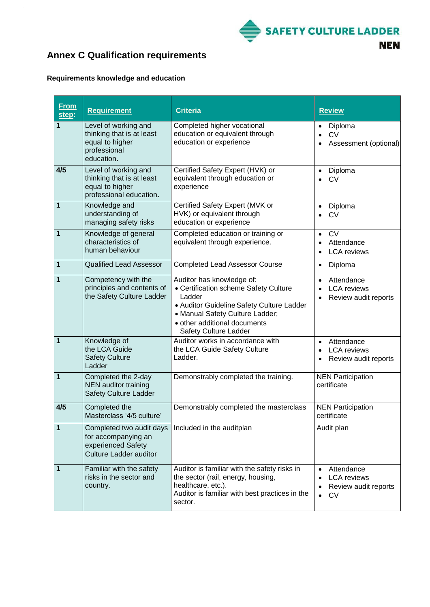

# <span id="page-25-0"></span>**Annex C Qualification requirements**

### **Requirements knowledge and education**

 $\ddot{\phantom{a}}$ 

| <b>From</b><br>step: | <b>Requirement</b>                                                                                     | <b>Criteria</b>                                                                                                                                                                                                       | <b>Review</b>                                                                                   |
|----------------------|--------------------------------------------------------------------------------------------------------|-----------------------------------------------------------------------------------------------------------------------------------------------------------------------------------------------------------------------|-------------------------------------------------------------------------------------------------|
| 1                    | Level of working and<br>thinking that is at least<br>equal to higher<br>professional<br>education.     | Completed higher vocational<br>education or equivalent through<br>education or experience                                                                                                                             | Diploma<br><b>CV</b><br>$\bullet$<br>Assessment (optional)                                      |
| 4/5                  | Level of working and<br>thinking that is at least<br>equal to higher<br>professional education.        | Certified Safety Expert (HVK) or<br>equivalent through education or<br>experience                                                                                                                                     | Diploma<br>$\bullet$<br><b>CV</b>                                                               |
| $\mathbf{1}$         | Knowledge and<br>understanding of<br>managing safety risks                                             | Certified Safety Expert (MVK or<br>HVK) or equivalent through<br>education or experience                                                                                                                              | Diploma<br>$\bullet$<br><b>CV</b>                                                               |
| 1                    | Knowledge of general<br>characteristics of<br>human behaviour                                          | Completed education or training or<br>equivalent through experience.                                                                                                                                                  | <b>CV</b><br>$\bullet$<br>Attendance<br><b>LCA</b> reviews                                      |
| 1                    | <b>Qualified Lead Assessor</b>                                                                         | <b>Completed Lead Assessor Course</b>                                                                                                                                                                                 | Diploma<br>$\bullet$                                                                            |
| 1                    | Competency with the<br>principles and contents of<br>the Safety Culture Ladder                         | Auditor has knowledge of:<br>• Certification scheme Safety Culture<br>Ladder<br>• Auditor Guideline Safety Culture Ladder<br>• Manual Safety Culture Ladder;<br>• other additional documents<br>Safety Culture Ladder | Attendance<br>$\bullet$<br><b>LCA</b> reviews<br>Review audit reports<br>$\bullet$              |
| $\mathbf{1}$         | Knowledge of<br>the LCA Guide<br><b>Safety Culture</b><br>Ladder                                       | Auditor works in accordance with<br>the LCA Guide Safety Culture<br>Ladder.                                                                                                                                           | Attendance<br>$\bullet$<br><b>LCA</b> reviews<br>$\bullet$<br>Review audit reports<br>$\bullet$ |
| $\mathbf{1}$         | Completed the 2-day<br>NEN auditor training<br>Safety Culture Ladder                                   | Demonstrably completed the training.                                                                                                                                                                                  | <b>NEN Participation</b><br>certificate                                                         |
| 4/5                  | Completed the<br>Masterclass '4/5 culture'                                                             | Demonstrably completed the masterclass                                                                                                                                                                                | <b>NEN Participation</b><br>certificate                                                         |
| 1                    | Completed two audit days<br>for accompanying an<br>experienced Safety<br><b>Culture Ladder auditor</b> | Included in the auditplan                                                                                                                                                                                             | Audit plan                                                                                      |
| 1                    | Familiar with the safety<br>risks in the sector and<br>country.                                        | Auditor is familiar with the safety risks in<br>the sector (rail, energy, housing,<br>healthcare, etc.).<br>Auditor is familiar with best practices in the<br>sector.                                                 | Attendance<br><b>LCA</b> reviews<br>Review audit reports<br><b>CV</b><br>$\bullet$              |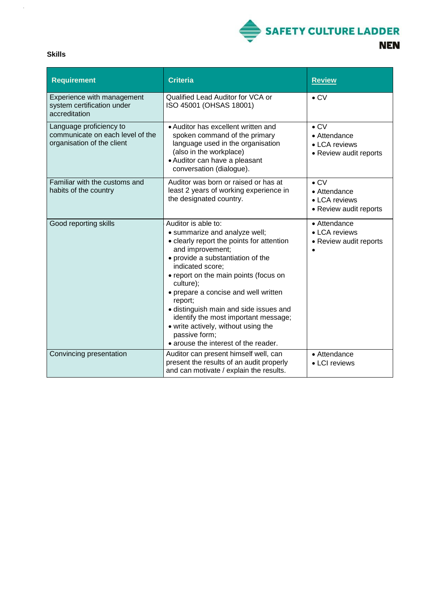

| w<br>w<br>۰.<br>۰. |
|--------------------|
|--------------------|

 $\hat{\mathcal{A}}$ 

| <b>Requirement</b>                                                                        | <b>Criteria</b>                                                                                                                                                                                                                                                                                                                                                                                                                                                           | <b>Review</b>                                                           |
|-------------------------------------------------------------------------------------------|---------------------------------------------------------------------------------------------------------------------------------------------------------------------------------------------------------------------------------------------------------------------------------------------------------------------------------------------------------------------------------------------------------------------------------------------------------------------------|-------------------------------------------------------------------------|
| Experience with management<br>system certification under<br>accreditation                 | Qualified Lead Auditor for VCA or<br>ISO 45001 (OHSAS 18001)                                                                                                                                                                                                                                                                                                                                                                                                              | $\bullet$ CV                                                            |
| Language proficiency to<br>communicate on each level of the<br>organisation of the client | • Auditor has excellent written and<br>spoken command of the primary<br>language used in the organisation<br>(also in the workplace)<br>• Auditor can have a pleasant<br>conversation (dialogue).                                                                                                                                                                                                                                                                         | $\bullet$ CV<br>• Attendance<br>• LCA reviews<br>• Review audit reports |
| Familiar with the customs and<br>habits of the country                                    | Auditor was born or raised or has at<br>least 2 years of working experience in<br>the designated country.                                                                                                                                                                                                                                                                                                                                                                 | $\bullet$ CV<br>• Attendance<br>• LCA reviews<br>• Review audit reports |
| Good reporting skills                                                                     | Auditor is able to:<br>· summarize and analyze well;<br>• clearly report the points for attention<br>and improvement;<br>• provide a substantiation of the<br>indicated score;<br>• report on the main points (focus on<br>culture);<br>• prepare a concise and well written<br>report;<br>· distinguish main and side issues and<br>identify the most important message;<br>• write actively, without using the<br>passive form;<br>• arouse the interest of the reader. | • Attendance<br>• LCA reviews<br>• Review audit reports                 |
| Convincing presentation                                                                   | Auditor can present himself well, can<br>present the results of an audit properly<br>and can motivate / explain the results.                                                                                                                                                                                                                                                                                                                                              | • Attendance<br>• LCI reviews                                           |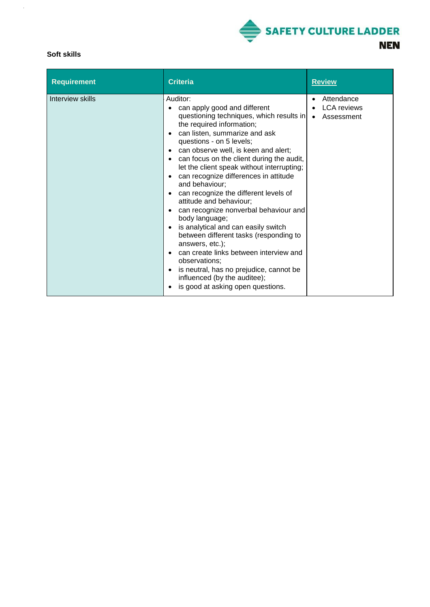

### **Soft skills**

 $\hat{\mathcal{A}}$ 

| <b>Requirement</b> | <b>Criteria</b>                                                                                                                                                                                                                                                                                                                                                                                                                                                                                                                                                                                                                                                                                                                                                                                                                                             | <b>Review</b>                                                            |
|--------------------|-------------------------------------------------------------------------------------------------------------------------------------------------------------------------------------------------------------------------------------------------------------------------------------------------------------------------------------------------------------------------------------------------------------------------------------------------------------------------------------------------------------------------------------------------------------------------------------------------------------------------------------------------------------------------------------------------------------------------------------------------------------------------------------------------------------------------------------------------------------|--------------------------------------------------------------------------|
| Interview skills   | Auditor:<br>can apply good and different<br>questioning techniques, which results in<br>the required information;<br>can listen, summarize and ask<br>questions - on 5 levels;<br>can observe well, is keen and alert;<br>$\bullet$<br>can focus on the client during the audit,<br>$\bullet$<br>let the client speak without interrupting;<br>can recognize differences in attitude<br>and behaviour;<br>can recognize the different levels of<br>attitude and behaviour;<br>can recognize nonverbal behaviour and<br>$\bullet$<br>body language;<br>is analytical and can easily switch<br>$\bullet$<br>between different tasks (responding to<br>answers, etc.);<br>can create links between interview and<br>observations:<br>is neutral, has no prejudice, cannot be<br>$\bullet$<br>influenced (by the auditee);<br>is good at asking open questions. | Attendance<br>$\bullet$<br><b>LCA</b> reviews<br>Assessment<br>$\bullet$ |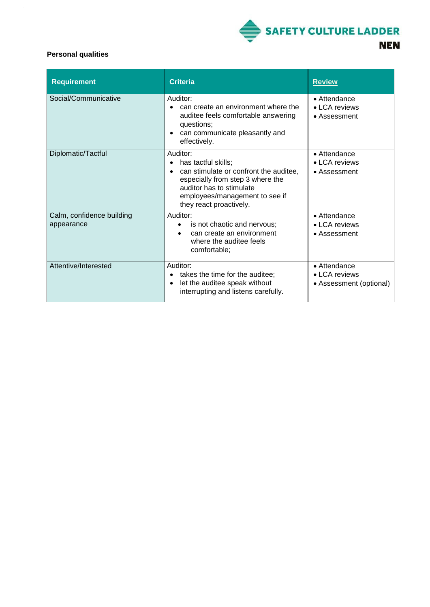

### **Personal qualities**

 $\frac{1}{2}$ 

| Requirement                             | <b>Criteria</b>                                                                                                                                                                                        | <b>Review</b>                                            |
|-----------------------------------------|--------------------------------------------------------------------------------------------------------------------------------------------------------------------------------------------------------|----------------------------------------------------------|
| Social/Communicative                    | Auditor:<br>can create an environment where the<br>auditee feels comfortable answering<br>questions;<br>can communicate pleasantly and<br>effectively.                                                 | • Attendance<br>• LCA reviews<br>• Assessment            |
| Diplomatic/Tactful                      | Auditor:<br>has tactful skills;<br>can stimulate or confront the auditee,<br>especially from step 3 where the<br>auditor has to stimulate<br>employees/management to see if<br>they react proactively. | • Attendance<br>• LCA reviews<br>• Assessment            |
| Calm, confidence building<br>appearance | Auditor:<br>is not chaotic and nervous;<br>can create an environment<br>where the auditee feels<br>comfortable;                                                                                        | • Attendance<br>• LCA reviews<br>• Assessment            |
| Attentive/Interested                    | Auditor:<br>takes the time for the auditee;<br>let the auditee speak without<br>interrupting and listens carefully.                                                                                    | • Attendance<br>• LCA reviews<br>• Assessment (optional) |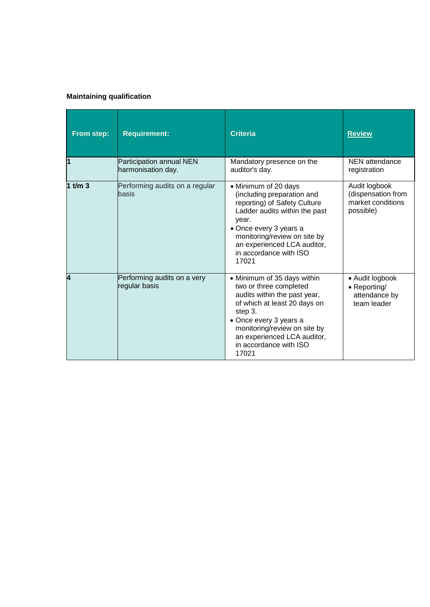### **Maintaining qualification**

| From step: | <b>Requirement:</b>                            | <b>Criteria</b>                                                                                                                                                                                                                                              | <b>Review</b>                                                         |
|------------|------------------------------------------------|--------------------------------------------------------------------------------------------------------------------------------------------------------------------------------------------------------------------------------------------------------------|-----------------------------------------------------------------------|
| 11         | Participation annual NEN<br>harmonisation day. | Mandatory presence on the<br>auditor's day.                                                                                                                                                                                                                  | NEN attendance<br>registration                                        |
| 1 t/m $3$  | Performing audits on a regular<br>basis        | • Minimum of 20 days<br>(including preparation and<br>reporting) of Safety Culture<br>Ladder audits within the past<br>year.<br>• Once every 3 years a<br>monitoring/review on site by<br>an experienced LCA auditor,<br>in accordance with ISO<br>17021     | Audit logbook<br>(dispensation from<br>market conditions<br>possible) |
| 4          | Performing audits on a very<br>regular basis   | • Minimum of 35 days within<br>two or three completed<br>audits within the past year,<br>of which at least 20 days on<br>step 3.<br>• Once every 3 years a<br>monitoring/review on site by<br>an experienced LCA auditor,<br>in accordance with ISO<br>17021 | • Audit logbook<br>• Reporting/<br>attendance by<br>team leader       |